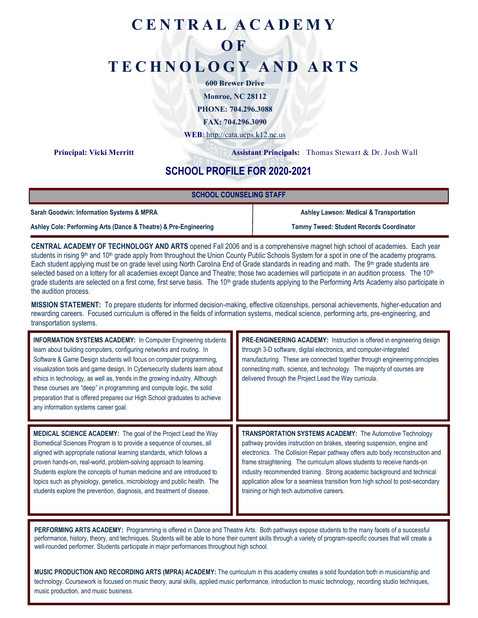# **C E N T R A L A C A D E M Y**

# **O F**

# **T E C H N O L O G Y A N D A R T S**

**600 Brewer Drive**

**Monroe, NC 28112**

**PHONE: 704.296.3088**

**FAX: 704.296.3090**

**WEB**:<http://cata.ucps.k12.nc.us>

**Principal: Vicki Merritt Assistant Principals:** Thomas Stewart & Dr. Josh Wall

## **SCHOOL PROFILE FOR 2020-2021**

| <b>SCHOOL COUNSELING STAFF</b>                                   |                                                    |
|------------------------------------------------------------------|----------------------------------------------------|
| Sarah Goodwin: Information Systems & MPRA                        | <b>Ashley Lawson: Medical &amp; Transportation</b> |
| Ashley Cole: Performing Arts (Dance & Theatre) & Pre-Engineering | <b>Tammy Tweed: Student Records Coordinator</b>    |

**CENTRAL ACADEMY OF TECHNOLOGY AND ARTS** opened Fall 2006 and is a comprehensive magnet high school of academies. Each year students in rising  $9<sup>th</sup>$  and 10<sup>th</sup> grade apply from throughout the Union County Public Schools System for a spot in one of the academy programs. Each student applying must be on grade level using North Carolina End of Grade standards in reading and math. The 9<sup>th</sup> grade students are selected based on a lottery for all academies except Dance and Theatre; those two academies will participate in an audition process. The 10<sup>th</sup> grade students are selected on a first come, first serve basis. The 10<sup>th</sup> grade students applying to the Performing Arts Academy also participate in the audition process.

**MISSION STATEMENT:** To prepare students for informed decision-making, effective citizenships, personal achievements, higher-education and rewarding careers. Focused curriculum is offered in the fields of information systems, medical science, performing arts, pre-engineering, and transportation systems.

| <b>INFORMATION SYSTEMS ACADEMY: In Computer Engineering students</b><br>learn about building computers, configuring networks and routing. In<br>Software & Game Design students will focus on computer programming,<br>visualization tools and game design. In Cybersecurity students learn about<br>ethics in technology, as well as, trends in the growing industry. Although<br>these courses are "deep" in programming and compute logic, the solid<br>preparation that is offered prepares our High School graduates to achieve<br>any information systems career goal. | <b>PRE-ENGINEERING ACADEMY:</b> Instruction is offered in engineering design<br>through 3-D software, digital electronics, and computer-integrated<br>manufacturing. These are connected together through engineering principles<br>connecting math, science, and technology. The majority of courses are<br>delivered through the Project Lead the Way curricula.                                                                                                                                                |
|------------------------------------------------------------------------------------------------------------------------------------------------------------------------------------------------------------------------------------------------------------------------------------------------------------------------------------------------------------------------------------------------------------------------------------------------------------------------------------------------------------------------------------------------------------------------------|-------------------------------------------------------------------------------------------------------------------------------------------------------------------------------------------------------------------------------------------------------------------------------------------------------------------------------------------------------------------------------------------------------------------------------------------------------------------------------------------------------------------|
| MEDICAL SCIENCE ACADEMY: The goal of the Project Lead the Way<br>Biomedical Sciences Program is to provide a sequence of courses, all<br>aligned with appropriate national learning standards, which follows a<br>proven hands-on, real-world, problem-solving approach to learning.<br>Students explore the concepts of human medicine and are introduced to<br>topics such as physiology, genetics, microbiology and public health. The<br>students explore the prevention, diagnosis, and treatment of disease.                                                           | <b>TRANSPORTATION SYSTEMS ACADEMY:</b> The Automotive Technology<br>pathway provides instruction on brakes, steering suspension, engine and<br>electronics. The Collision Repair pathway offers auto body reconstruction and<br>frame straightening. The curriculum allows students to receive hands-on<br>industry recommended training. Strong academic background and technical<br>application allow for a seamless transition from high school to post-secondary<br>training or high tech automotive careers. |

**PERFORMING ARTS ACADEMY:** Programming is offered in Dance and Theatre Arts. Both pathways expose students to the many facets of a successful performance, history, theory, and techniques. Students will be able to hone their current skills through a variety of program-specific courses that will create a well-rounded performer. Students participate in major performances throughout high school.

**MUSIC PRODUCTION AND RECORDING ARTS (MPRA) ACADEMY:** The curriculum in this academy creates a solid foundation both in musicianship and technology. Coursework is focused on music theory, aural skills, applied music performance, introduction to music technology, recording studio techniques, music production, and music business.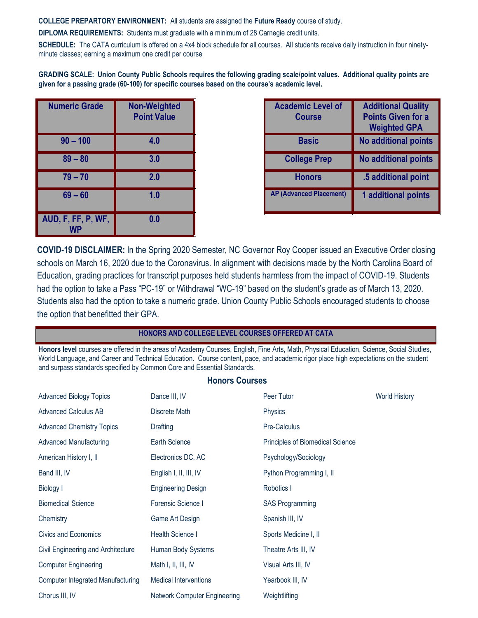**COLLEGE PREPARTORY ENVIRONMENT:** All students are assigned the **Future Ready** course of study.

**DIPLOMA REQUIREMENTS:** Students must graduate with a minimum of 28 Carnegie credit units.

**SCHEDULE:** The CATA curriculum is offered on a 4x4 block schedule for all courses. All students receive daily instruction in four ninetyminute classes; earning a maximum one credit per course

**GRADING SCALE: Union County Public Schools requires the following grading scale/point values. Additional quality points are given for a passing grade (60-100) for specific courses based on the course's academic level.**

| <b>Numeric Grade</b> | <b>Non-Weighted</b><br><b>Point Value</b> |
|----------------------|-------------------------------------------|
| $90 - 100$           | 4.0                                       |
| $89 - 80$            | 3.0                                       |
| $79 - 70$            | 2.0                                       |
| $69 - 60$            | 1.0                                       |
| AUD, F, FF, P, WF,   | 0.0                                       |

| neric Grade | <b>Non-Weighted</b><br><b>Point Value</b> | <b>Academic Level of</b><br><b>Course</b> | <b>Additional Quality</b><br><b>Points Given for a</b><br><b>Weighted GPA</b> |
|-------------|-------------------------------------------|-------------------------------------------|-------------------------------------------------------------------------------|
| $90 - 100$  | 4.0                                       | <b>Basic</b>                              | No additional points                                                          |
| $89 - 80$   | 3.0                                       | <b>College Prep</b>                       | <b>No additional points</b>                                                   |
| $79 - 70$   | 2.0                                       | <b>Honors</b>                             | .5 additional point                                                           |
| $69 - 60$   | 1.0                                       | <b>AP (Advanced Placement)</b>            | 1 additional points                                                           |

**COVID-19 DISCLAIMER:** In the Spring 2020 Semester, NC Governor Roy Cooper issued an Executive Order closing schools on March 16, 2020 due to the Coronavirus. In alignment with decisions made by the North Carolina Board of Education, grading practices for transcript purposes held students harmless from the impact of COVID-19. Students had the option to take a Pass "PC-19" or Withdrawal "WC-19" based on the student's grade as of March 13, 2020. Students also had the option to take a numeric grade. Union County Public Schools encouraged students to choose the option that benefitted their GPA.

#### **HONORS AND COLLEGE LEVEL COURSES OFFERED AT CATA**

**Honors level** courses are offered in the areas of Academy Courses, English, Fine Arts, Math, Physical Education, Science, Social Studies, World Language, and Career and Technical Education. Course content, pace, and academic rigor place high expectations on the student and surpass standards specified by Common Core and Essential Standards.

#### **Honors Courses**

| <b>Advanced Biology Topics</b>           | Dance III, IV                       | Peer Tutor                       | <b>World History</b> |
|------------------------------------------|-------------------------------------|----------------------------------|----------------------|
| <b>Advanced Calculus AB</b>              | Discrete Math                       | Physics                          |                      |
| <b>Advanced Chemistry Topics</b>         | Drafting                            | Pre-Calculus                     |                      |
| <b>Advanced Manufacturing</b>            | Earth Science                       | Principles of Biomedical Science |                      |
| American History I, II                   | Electronics DC, AC                  | Psychology/Sociology             |                      |
| Band III, IV                             | English I, II, III, IV              | Python Programming I, II         |                      |
| <b>Biology I</b>                         | <b>Engineering Design</b>           | Robotics I                       |                      |
| <b>Biomedical Science</b>                | Forensic Science I                  | <b>SAS Programming</b>           |                      |
| Chemistry                                | Game Art Design                     | Spanish III, IV                  |                      |
| Civics and Economics                     | Health Science I                    | Sports Medicine I, II            |                      |
| Civil Engineering and Architecture       | Human Body Systems                  | Theatre Arts III, IV             |                      |
| <b>Computer Engineering</b>              | Math I, II, III, IV                 | Visual Arts III, IV              |                      |
| <b>Computer Integrated Manufacturing</b> | <b>Medical Interventions</b>        | Yearbook III, IV                 |                      |
| Chorus III, IV                           | <b>Network Computer Engineering</b> | Weightlifting                    |                      |